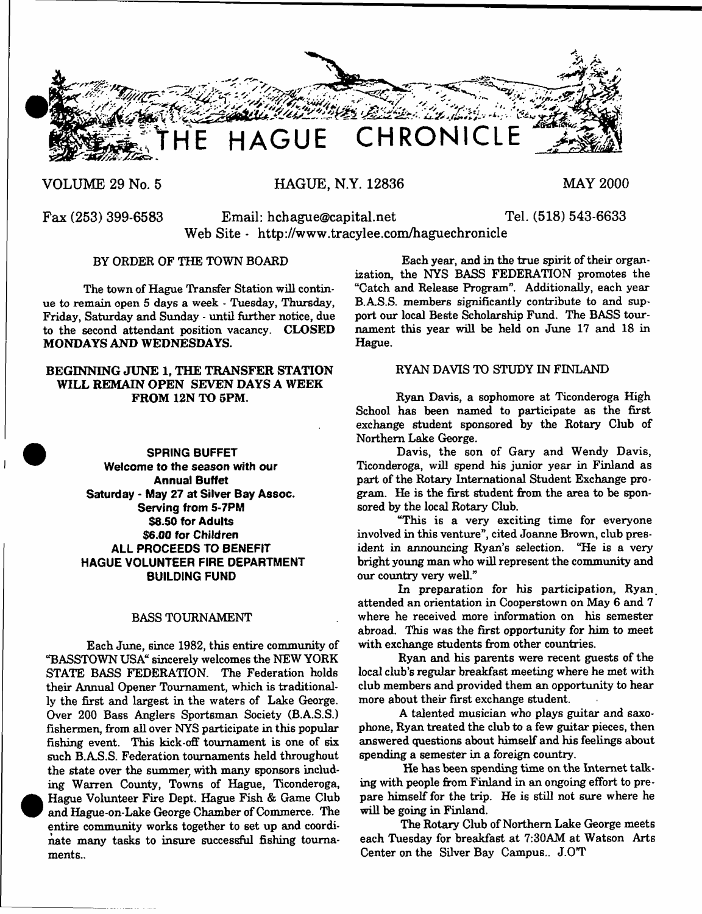

**VOLUME 29 No. 5**

**HAGUE, N.Y. 12836**

**MAY 2000**

**Fax (253) 399-6583 Email: [hchague@capital.net](mailto:hchague@capital.net) Tel. (518) 543-6633 Web Site - <http://www.tracylee.com/haguechronicle>**

## BY ORDER OF THE TOWN BOARD

The town of Hague Transfer Station will continue to remain open 5 days a week - Tuesday, Thursday, Friday, Saturday and Sunday - until further notice, due to the second attendant position vacancy. CLOSED MONDAYS AND WEDNESDAYS.

## BEGINNING JUNE 1, THE TRANSFER STATION WILL REMAIN OPEN SEVEN DAYS A WEEK FROM 12N TO 5PM.

**SPRING BUFFET Welcome to the season with our Annual Buffet Saturday - May 27 at Silver Bay Assoc. Serving from 5-7PM \$8.50 for Adults \$6.00 for Children ALL PROCEEDS TO BENEFIT HAGUE VOLUNTEER FIRE DEPARTMENT BUILDING FUND**

## BASS TOURNAMENT

Each June, since 1982, this entire community of "BASSTOWN USA" sincerely welcomes the NEW YORK STATE BASS FEDERATION. The Federation holds their Annual Opener Tournament, which is traditionally the first and largest in the waters of Lake George. Over 200 Bass Anglers Sportsman Society (B.A.S.S.) fishermen, from all over NYS participate in this popular fishing event. This kick-off tournament is one of six such B. AS.S. Federation tournaments held throughout the state over the summer with many sponsors including Warren County, Towns of Hague, Ticonderoga, Hague Volunteer Fire Dept. Hague Fish & Game Club and Hague-on-Lake George Chamber of Commerce. The entire community works together to set up and coordinate many tasks to insure successful fishing tournaments..

Each year, and in the true spirit of their organization, the NYS BASS FEDERATION promotes the "Catch and Release Program". Additionally, each year B.AS.S. members significantly contribute to and support our local Beste Scholarship Fund. The BASS tournament this year will be held on June 17 and 18 in Hague.

## RYAN DAVIS TO STUDY IN FINLAND

Ryan Davis, a sophomore at Ticonderoga High School has been named to participate as the first exchange student sponsored by the Rotary Club of Northern Lake George.

Davis, the son of Gary and Wendy Davis, Ticonderoga, will spend his junior year in Finland as part of the Rotary International Student Exchange program. He is the first student from the area to be sponsored by the local Rotary Club.

"This is a very exciting time for everyone involved in this venture", cited Joanne Brown, club president in announcing Ryan's selection. "He is a very bright young man who will represent the community and our country very well."

In preparation for his participation, Ryan attended an orientation in Cooperstown on May 6 and 7 where he received more information on his semester abroad. This was the first opportunity for him to meet with exchange students from other countries.

Ryan and his parents were recent guests of the local club's regular breakfast meeting where he met with club members and provided them an opportunity to hear more about their first exchange student.

A talented musician who plays guitar and saxophone, Ryan treated the club to a few guitar pieces, then answered questions about himself and his feelings about spending a semester in a foreign country.

He has been spending time on the Internet talking with people from Finland in an ongoing effort to prepare himself for the trip. He is still not sure where he will be going in Finland.

The Rotary Club of Northern Lake George meets each Tuesday for breakfast at 7:30AM at Watson Arts Center on the Silver Bay Campus.. J.OT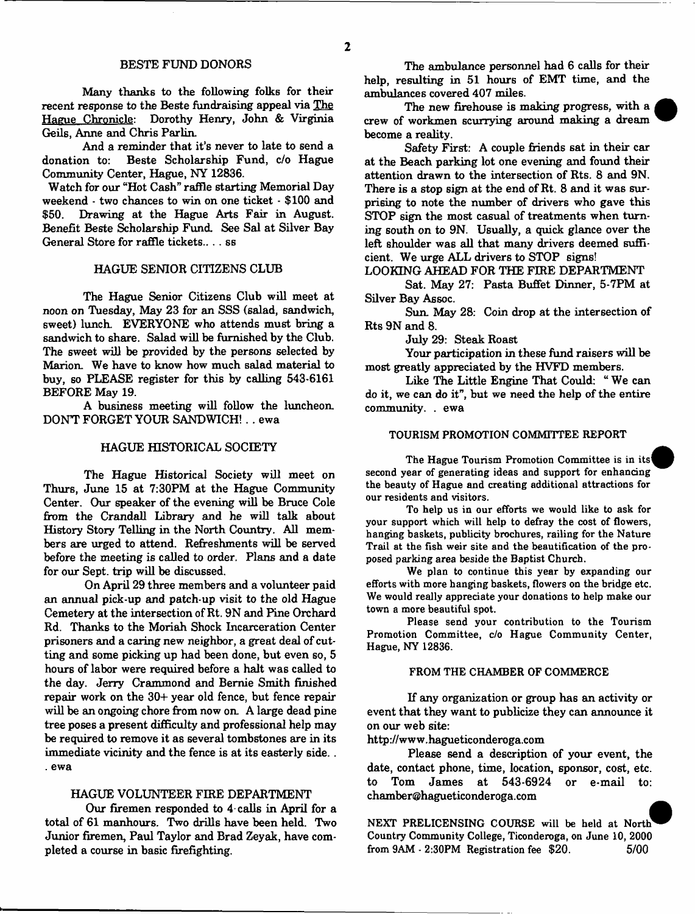Many thanks to the following folks for their recent response to the Beste fundraising appeal via The Hague Chronicle: Dorothy Henry, John & Virginia Geils, Anne and Chris Parlin.

And a reminder that it's never to late to send a donation to: Beste Scholarship Fund, c/o Hague Community Center, Hague, NY 12836.

Watch for our "Hot Cash" raffle starting Memorial Day weekend - two chances to win on one ticket - \$100 and \$50. Drawing at the Hague Arts Fair in August. Drawing at the Hague Arts Fair in August. Benefit Beste Scholarship Fund. See Sal at Silver Bay General Store for raffle tickets.. . . ss

### HAGUE SENIOR CITIZENS CLUB

The Hague Senior Citizens Club will meet at *noon* on Tuesday, May 23 for an SSS (salad, sandwich, sweet) lunch. EVERYONE who attends must bring a sandwich to share. Salad will be furnished by the Club. The sweet will be provided by the persons selected by Marion. We have to know how much salad material to buy, so PLEASE register for this by calling 543-6161 BEFORE May 19.

A business meeting will follow the luncheon DON'T FORGET YOUR SANDWICH!. . ewa

#### HAGUE HISTORICAL SOCIETY

The Hague Historical Society will meet on Thurs, June 15 at 7:30PM at the Hague Community Center. Our speaker of the evening will be Bruce Cole from the Crandall Library and he will talk about History Story Telling in the North Country. All members are urged to attend. Refreshments will be served before the meeting is called to order. Plans and a date for our Sept. trip will be discussed.

On April 29 three members and a volunteer paid an annual pick-up and patch-up visit to the old Hague Cemetery at the intersection of Rt. 9N and Pine Orchard Rd. Thanks to the Moriah Shock Incarceration Center prisoners and a caring new neighbor, a great deal of cutting and some picking up had been done, but even so, 5 hours of labor were required before a halt was called to the day. Jerry Crammond and Bemie Smith finished repair work on the 30+ year old fence, but fence repair will be an ongoing chore from now on A large dead pine tree poses a present difficulty and professional help may be required to remove it as several tombstones are in its immediate vicinity and the fence is at its easterly side... . ewa

#### HAGUE VOLUNTEER FIRE DEPARTMENT

Our firemen responded to 4 calls in April for a total of 61 manhours. Two drills have been held. Two Junior firemen, Paul Taylor and Brad Zeyak, have completed a course in basic firefighting.

The ambulance personnel had 6 calls for their help, resulting in 51 hours of EMT time, and the ambulances covered 407 miles.

The new firehouse is making progress, with a crew of workmen scurrying around making a dream become a reality.

Safety First: A couple friends sat in their car at the Beach parking lot one evening and found their attention drawn to the intersection of Rts. 8 and 9N. There is a stop sign at the end of Rt. 8 and it was surprising to note the number of drivers who gave this STOP sign the most casual of treatments when turning south on to 9N. Usually, a quick glance over the left shoulder was all that many drivers deemed sufficient. We urge ALL drivers to STOP signs!

#### LOOKING AHEAD FOR THE FIRE DEPARTMENT

Sat. May 27: Pasta Buffet Dinner, 5-7PM at Silver Bay Assoc.

Sun. May 28: Coin drop at the intersection of Rts 9N and 8.

July 29: Steak Roast

Your participation in these fund raisers will be most greatly appreciated by the HVFD members.

Like The Little Engine That Could: " We can do it, we can do it", but we need the help of the entire community. . ewa

## TOURISM PROMOTION COMMITTEE REPORT

The Hague Tourism Promotion Committee is in its{ second year of generating ideas and support for enhancing the beauty of Hague and creating additional attractions for our residents and visitors.

To help us in our efforts we would like to ask for your support which will help to defray the cost of flowers, hanging baskets, publicity brochures, railing for the Nature Trail at the fish weir site and the beautification of the proposed parking area beside the Baptist Church.

We plan to continue this year by expanding our efforts with more hanging baskets, flowers on the bridge etc. We would really appreciate your donations to help make our town a more beautiful spot.

Please send your contribution to the Tourism Promotion Committee, c/o Hague Community Center, Hague, NY 12836.

#### FROM THE CHAMBER OF COMMERCE

If any organization or group has an activity or event that they want to publicize they can announce it on our web site:

<http://www.hagueticonderoga.com>

Please send a description of your event, the date, contact phone, time, location, sponsor, cost, etc. to Tom James at 543-6924 or e-mail to: [chamber@hagueticonderoga.com](mailto:chamber@hagueticonderoga.com)

NEXT PRELICENSING COURSE will be held at North^ Country Community College, Ticonderoga, on June 10, 2000<br>from  $9AM - 2:30PM$  Registration fee \$20. 6/00 from  $9AM - 2:30PM$  Registration fee \$20.

 $\overline{2}$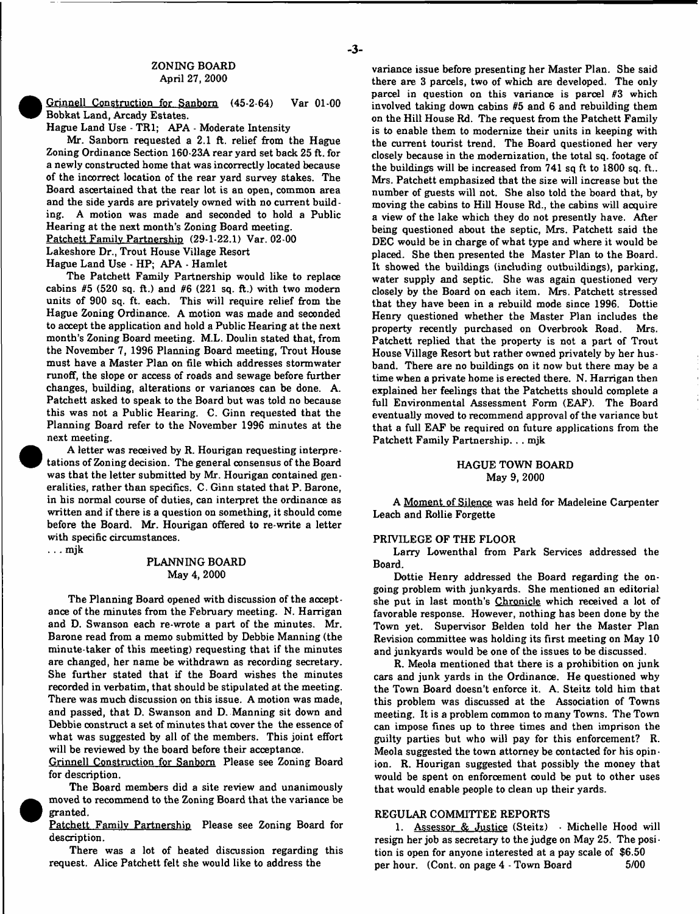#### ZONING BOARD April 27, 2000

Grinnell Construction for Sanborn (45-2-64) Var 01-00 Bobkat Land, Arcady Estates.

Hague Land Use - TR1; APA - Moderate Intensity

Mr. Sanborn requested a 2.1 ft. relief from the Hague Zoning Ordinance Section 160-23A rear yard set back 25 ft. for a newly constructed home that was incorrectly located because of the incorrect location of the rear yard survey stakes. The Board ascertained that the rear lot is an open, common area and the side yards are privately owned with no current building. A motion was made and seconded to hold a Public Hearing at the next month's Zoning Board meeting. Patchett Family Partnership (29-1-22.1) Var. 02-00 Lakeshore Dr., Trout House Village Resort Hague Land Use - HP; APA - Hamlet

The Patchett Family Partnership would like to replace cabins  $#5$  (520 sq. ft.) and  $#6$  (221 sq. ft.) with two modern units of 900 sq. ft. each. This will require relief from the Hague Zoning Ordinance. A motion was made and seconded to accept the application and hold a Public Hearing at the next month's Zoning Board meeting. M.L. Doulin stated that, from the November 7, 1996 Planning Board meeting, Trout House must have a Master Plan on file which addresses stormwater runoff, the slope or access of roads and sewage before further changes, building, alterations or variances can be done. A. Patchett asked to speak to the Board but was told no because this was not a Public Hearing. C. Ginn requested that the Planning Board refer to the November 1996 minutes at the next meeting.

A letter was received by R. Hourigan requesting interpretations of Zoning decision. The general consensus of the Board was that the letter submitted by Mr. Hourigan contained generalities, rather than specifics. C. Ginn stated that P. Barone, in his normal course of duties, can interpret the ordinance as written and if there is a question on something, it should come before the Board. Mr. Hourigan offered to re-write a letter with specific circumstances.

. . . mjk

### PLANNING BOARD May 4, 2000

The Planning Board opened with discussion of the acceptance of the minutes from the February meeting. N. Harrigan and D. Swanson each re-wrote a part of the minutes. Mr. Barone read from a memo submitted by Debbie Manning (the minute-taker of this meeting) requesting that if the minutes are changed, her name be withdrawn as recording secretary. She further stated that if the Board wishes the minutes recorded in verbatim, that should be stipulated at the meeting. There was much discussion on this issue. A motion was made, and passed, that D. Swanson and D. Manning sit down and Debbie construct a set of minutes that cover the the essence of what was suggested by all of the members. This joint effort will be reviewed by the board before their acceptance.

Grinnell Construction for Sanborn Please see Zoning Board for description.

The Board members did a site review and unanimously moved to recommend to the Zoning Board that the variance be granted.

Patchett Family Partnership Please see Zoning Board for description.

There was a lot of heated discussion regarding this request. Alice Patchett felt she would like to address the

variance issue before presenting her Master Plan. She said there are 3 parcels, two of which are developed. The only parcel in question on this variance is parcel #3 which involved taking down cabins #5 and 6 and rebuilding them on the Hill House Rd. The request from the Patchett Family is to enable them to modernize their units in keeping with the current tourist trend. The Board questioned her very closely because in the modernization, the total sq. footage of the buildings will be increased from 741 sq ft to 1800 sq. ft,. Mrs. Patchett emphasized that the size will increase but the number of guests will not. She also told the board that, by moving the cabins to Hill House Rd., the cabins will acquire a view of the lake which they do not presently have. After being questioned about the septic, Mrs. Patchett said the DEC would be in charge of what type and where it would be placed. She then presented the Master Plan to the Board. It showed the buildings (including outbuildings), parking, water supply and septic. She was again questioned very closely by the Board on each item. Mrs. Patchett stressed that they have been in a rebuild mode since 1996. Dottie Henry questioned whether the Master Plan includes the property recently purchased on Overbrook Road. Mrs. Patchett replied that the property is not a part of Trout House Village Resort but rather owned privately by her husband. There are no buildings on it now but there may be a time when a private home is erected there. N. Harrigan then explained her feelings that the Patchetts should complete a full Environmental Assessment Form (EAF). The Board eventually moved to recommend approval of the variance but that a full EAF be required on future applications from the Patchett Family Partnership.. . mjk

#### HAGUE TOWN BOARD May 9, 2000

A Moment of Silence was held for Madeleine Carpenter Leach and Rollie Forgette

#### PRIVILEGE OF THE FLOOR

Larry Lowenthal from Park Services addressed the Board.

Dottie Henry addressed the Board regarding the ongoing problem with junkyards. She mentioned an editorial she put in last month's Chronicle which received a lot of favorable response. However, nothing has been done by the Town yet. Supervisor Belden told her the Master Plan Revision committee was holding its first meeting on May 10 and junkyards would be one of the issues to be discussed.

R. Meola mentioned that there is a prohibition on junk cars and junk yards in the Ordinance. He questioned why the Town Board doesn't enforce it. A. Steitz told him that this problem was discussed at the Association of Towns meeting. It is a problem common to many Towns. The Town can impose fines up to three times and then imprison the guilty parties but who will pay for this enforcement? R. Meola suggested the town attorney be contacted for his opinion. R. Hourigan suggested that possibly the money that would be spent on enforcement could be put to other uses that would enable people to clean up their yards.

#### REGULAR COMMITTEE REPORTS

1. Assessor & Justice (Steitz) • Michelle Hood will resign her job as secretary to the judge on May 25. The posi • tion is open for anyone interested at a pay scale of \$6.50 per hour. (Cont. on page 4 - Town Board 5/00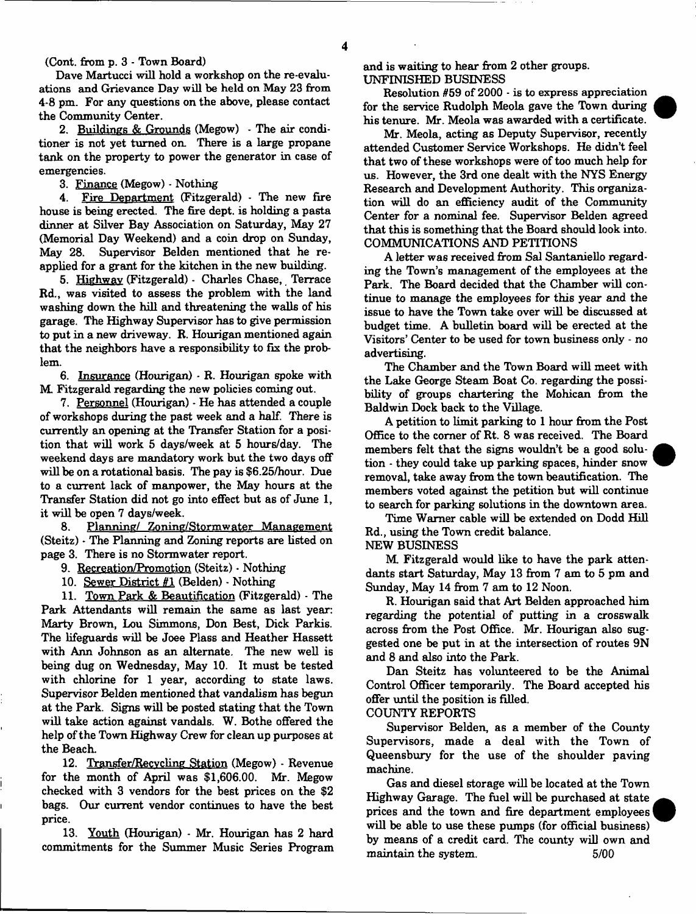(Cont. from **p.** 3 - Town Board)

Dave Martucci will hold a workshop on the re-evaluations and Grievance Day will be held on May 23 from 4-8 pm. For any questions on the above, please contact the Community Center.

2. Buildings & Grounds (Megow) - The air conditioner is not yet turned on. There is a large propane tank on the property to power the generator in case of emergencies.

3. Finance (Megow) - Nothing

4. Fire Department (Fitzgerald) - The new fire house is being erected. The fire dept, is holding a pasta dinner at Silver Bay Association on Saturday, May 27 (Memorial Day Weekend) and a coin drop on Sunday, May 28. Supervisor Belden mentioned that he reapplied for a grant for the kitchen in the new building.

5. Highway (Fitzgerald) - Charles Chase, Terrace Rd., was visited to assess the problem with the land washing down the hill and threatening the walls of his garage. The Highway Supervisor has to give permission to put in a new driveway. R. Hourigan mentioned again that the neighbors have a responsibility to fix the problem.

6. Insurance (Hourigan) - R. Hourigan spoke with M Fitzgerald regarding the new policies coming out.

7. Personnel (Hourigan) - He has attended a couple of workshops during the past week and a half. There is currently an opening at the Transfer Station for a position that will work 5 days/week at 5 hours/day. The weekend days are mandatory work but the two days off will be on a rotational basis. The pay is \$6.25/hour. Due to a current lack of manpower, the May hours at the Transfer Station did not go into effect but as of June 1, it will be open 7 days/week.

8. Planning/ Zoning/Stormwater Management (Steitz) - The Planning and Zoning reports are listed on page 3. There is no Stormwater report.

9. Recreation/Promotion (Steitz) - Nothing

10. Sewer District #1 (Belden) - Nothing

11. Town Park & Beautification (Fitzgerald) - The Park Attendants will remain the same as last year: Marty Brown, Lou Simmons, Don Best, Dick Parkis. The lifeguards will be Joee Plass and Heather Hassett with Ann Johnson as an alternate. The new well is being dug on Wednesday, May 10. It must be tested with chlorine for 1 year, according to state laws. Supervisor Belden mentioned that vandalism has begun at the Park. Signs will be posted stating that the Town will take action against vandals. W. Bothe offered the help of the Town Highway Crew for clean up purposes at the Beach.

12. Transfer/Recvcling Station (Megow) - Revenue for the month of April was \$1,606.00. Mr. Megow checked with 3 vendors for the best prices on the \$2 bags. Our current vendor continues to have the best price.

13. Youth (Hourigan) - Mr. Hourigan has 2 hard commitments for the Summer Music Series Program and is waiting to hear from 2 other groups. UNFINISHED BUSINESS

Resolution #59 of 2000 - is to express appreciation for the service Rudolph Meola gave the Town during his tenure. Mr. Meola was awarded with a certificate.

Mr. Meola, acting as Deputy Supervisor, recently attended Customer Service Workshops. He didn't feel that two of these workshops were of too much help for us. However, the 3rd one dealt with the NYS Energy Research and Development Authority. This organization will do an efficiency audit of the Community Center for a nominal fee. Supervisor Belden agreed that this is something that the Board should look into. COMMUNICATIONS AND PETITIONS

A letter was received from Sal Santaniello regarding the Town's management of the employees at the Park. The Board decided that the Chamber will continue to manage the employees for this year and the issue to have the Town take over will be discussed at budget time. A bulletin board will be erected at the Visitors' Center to be used for town business only - no advertising.

The Chamber and the Town Board will meet with the Lake George Steam Boat Co. regarding the possibility of groups chartering the Mohican from the Baldwin Dock back to the Village.

A petition to limit parking to 1 hour from the Post Office to the comer of Rt. 8 was received. The Board members felt that the signs wouldn't be a good solution - they could take up parking spaces, hinder snow removal, take away from the town beautification. The members voted against the petition but will continue to search for parking solutions in the downtown area.

Time Warner cable will be extended on Dodd Hill Rd., using the Town credit balance.

NEW BUSINESS

M Fitzgerald would like to have the park attendants start Saturday, May 13 from 7 am to 5 pm and Sunday, May 14 from 7 am to 12 Noon.

R. Hourigan said that Art Belden approached him regarding the potential of putting in a crosswalk across from the Post Office. Mr. Hourigan also suggested one be put in at the intersection of routes 9N and 8 and also into the Park.

Dan Steitz has volunteered to be the Animal Control Officer temporarily. The Board accepted his offer until the position is filled. COUNTY REPORTS

Supervisor Belden, as a member of the County Supervisors, made a deal with the Town of Queensbury for the use of the shoulder paving machine.

Gas and diesel storage will be located at the Town Highway Garage. The fuel will be purchased at state prices and the town and fire department employees will be able to use these pumps (for official business) by means of a credit card. The county will own and maintain the system. 5/00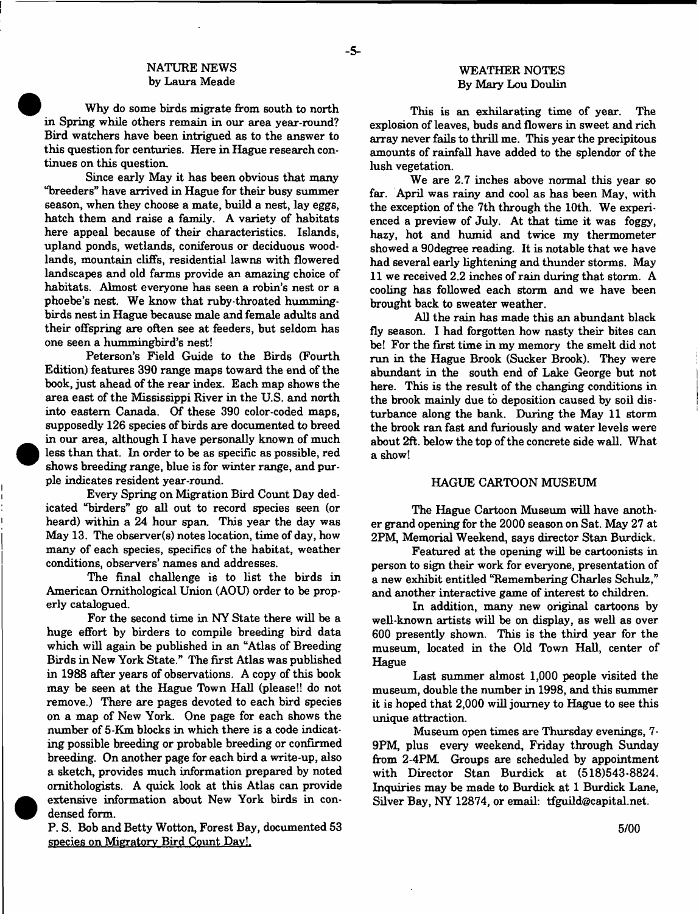## NATURE NEWS by Laura Meade

Why do some birds migrate from south to north in Spring while others remain in our area year-round? Bird watchers have been intrigued as to the answer to this question for centuries. Here in Hague research continues on this question.

Since early May it has been obvious that many "breeders" have arrived in Hague for their busy summer season, when they choose a mate, build a nest, lay eggs, hatch them and raise a family. A variety of habitats here appeal because of their characteristics. Islands, upland ponds, wetlands, coniferous or deciduous woodlands, mountain cliffs, residential lawns with flowered landscapes and old farms provide an amazing choice of habitats. Almost everyone has seen a robin's nest or a phoebe's nest. We know that ruby-throated hummingbirds nest in Hague because male and female adults and their offspring are often see at feeders, but seldom has one seen a hummingbird's nest!

Peterson's Field Guide to the Birds (Fourth Edition) features 390 range maps toward the end of the book, just ahead of the rear index. Each map shows the area east of the Mississippi River in the U.S. and north into eastern Canada. Of these 390 color-coded maps, supposedly 126 species of birds are documented to breed in our area, although I have personally known of much less than that. In order to be as specific as possible, red shows breeding range, blue is for winter range, and purple indicates resident year-round.

Every Spring on Migration Bird Count Day dedicated "birders" go all out to record species seen (or heard) within a 24 hour span. This year the day was May 13. The observer(s) notes location, time of day, how many of each species, specifics of the habitat, weather conditions, observers' names and addresses.

The final challenge is to list the birds in American Ornithological Union (AOU) order to be properly catalogued.

For the second time in NY State there will be a huge effort by birders to compile breeding bird data which will again be published in an "Atlas of Breeding Birds in New York State." The first Atlas was published in 1988 after years of observations. A copy of this book may be seen at the Hague Town Hall (please!! do not remove.) There are pages devoted to each bird species on a map of New York. One page for each shows the number of 5-Km blocks in which there is a code indicating possible breeding or probable breeding or confirmed breeding. On another page for each bird a write-up, also a sketch, provides much information prepared by noted ornithologists. A quick look at this Atlas can provide extensive information about New York birds in condensed form.

P. S. Bob and Betty Wotton, Forest Bay, documented 53 species on Migratory Bird Count Dav!.

#### WEATHER NOTES By Mary Lou Doulin

This is an exhilarating time of year. The explosion of leaves, buds and flowers in sweet and rich array never fails to thrill me. This year the precipitous amounts of rainfall have added to the splendor of the lush vegetation.

We are 2.7 inches above normal this year so far. April was rainy and cool as has been May, with the exception of the 7th through the 10th. We experienced a preview of July. At that time it was foggy, hazy, hot and humid and twice my thermometer showed a 90degree reading. It is notable that we have had several early lightening and thunder storms. May 11 we received 2.2 inches of rain during that storm. A cooling has followed each storm and we have been brought back to sweater weather.

All the rain has made this an abundant black fly season. I had forgotten how nasty their bites can be! For the first time in my memory the smelt did not run in the Hague Brook (Sucker Brook). They were abundant in the south end of Lake George but not here. This is the result of the changing conditions in the brook mainly due to deposition caused by soil disturbance along the bank. During the May 11 storm the brook ran fast and furiously and water levels were about 2ft. below the top of the concrete side wall. What a show!

## HAGUE CARTOON MUSEUM

The Hague Cartoon Museum will have another grand opening for the 2000 season on Sat. May 27 at 2PM, Memorial Weekend, says director Stan Burdick.

Featured at the opening will be cartoonists in person to sign their work for everyone, presentation of a new exhibit entitled "Remembering Charles Schulz," and another interactive game of interest to children.

In addition, many new original cartoons by well-known artists will be on display, as well as over 600 presently shown. This is the third year for the museum, located in the Old Town Hall, center of Hague

Last summer almost 1,000 people visited the museum, double the number in 1998, and this summer it is hoped that 2,000 will journey to Hague to see this unique attraction.

Museum open times are Thursday evenings, 7- 9PM, plus every weekend, Friday through Sunday from 2-4PM Groups are scheduled by appointment with Director Stan Burdick at (518)543-8824. Inquiries may be made to Burdick at 1 Burdick Lane, Silver Bay, NY 12874, or email: [tfguild@capital.net.](mailto:tfguild@capital.net)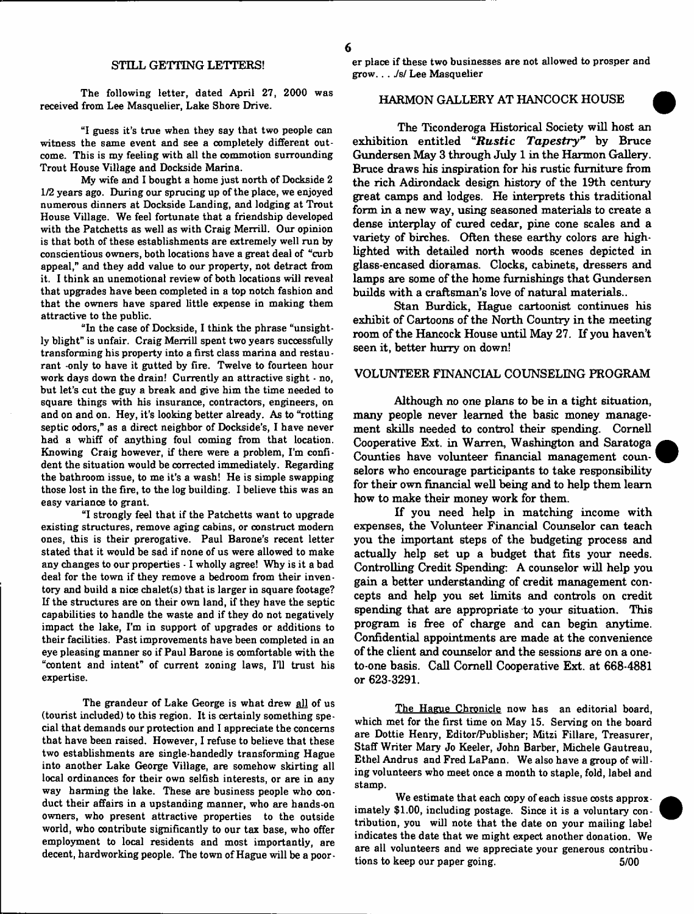## STILL GETTING LETTERS!

The following letter, dated April 27, 2000 was received from Lee Masquelier, Lake Shore Drive.

"I guess it's true when they say that two people can witness the same event and see a completely different outcome. This is my feeling with all the commotion surrounding Trout House Village and Dockside Marina.

My wife and I bought a home just north of Dockside 2 1/2 years ago. During our sprucing up of the place, we enjoyed numerous dinners at Dockside Landing, and lodging at Trout House Village. We feel fortunate that a friendship developed with the Patchetts as well as with Craig Merrill. Our opinion is that both of these establishments are extremely well run by conscientious owners, both locations have a great deal of "curb appeal," and they add value to our property, not detract from it. I think an unemotional review of both locations will reveal that upgrades have been completed in a top notch fashion and that the owners have spared little expense in making them attractive to the public.

"In the case of Dockside, I think the phrase "unsightly blight" is unfair. Craig Merrill spent two years successfully transforming his property into a first class marina and restaurant -only to have it gutted by fire. Twelve to fourteen hour work days down the drain! Currently an attractive sight • no, hut let's cut the guy a break and give him the time needed to square things with his insurance, contractors, engineers, on and on and on. Hey, it's looking better already. As to "rotting septic odors," as a direct neighbor of Dockside's, I have never had a whiff of anything foul coming from that location. Knowing Craig however, if there were a problem, I'm confident the situation would he corrected immediately. Regarding the bathroom issue, to me it's a wash! He is simple swapping those lost in the fire, to the log building. I believe this was an easy variance to grant.

"I strongly feel that if the Patchetts want to upgrade existing structures, remove aging cabins, or construct modern ones, this is their prerogative. Paul Barone's recent letter stated that it would be sad if none of us were allowed to make any changes to our properties - 1 wholly agree! Why is it a bad deal for the town if they remove a bedroom from their inven tory and build a nice chalet(s) that is larger in square footage? If the structures are on their own land, if they have the septic capabilities to handle the waste and if they do not negatively impact the lake, I'm in support of upgrades or additions to their facilities. Past improvements have been completed in an eye pleasing manner so if Paul Barone is comfortable with the "content and intent" of current zoning laws, I'll trust his expertise.

The grandeur of Lake George is what drew all of us (tourist included) to this region. It is certainly something special that demands our protection and I appreciate the concerns that have been raised. However, I refuse to believe that these two establishments are single-handedly transforming Hague into another Lake George Village, are somehow skirting all local ordinances for their own selfish interests, or are in any way harming the lake. These are business people who oonduct their affairs in a upstanding manner, who are hands-on owners, who present attractive properties to the outside world, who contribute significantly to our tax base, who offer employment to local residents and most importantly, are decent, hardworking people. The town of Hague will be a poorer place if these two businesses are not allowed to prosper and grow.. . *Jsf* Lee Masquelier

## HARMON GALLERY AT HANCOCK HOUSE

The Ticonderoga Historical Society will host an exhibition entitled "Rustic Tapestry" by Bruce Gundersen May 3 through July 1 in the Harmon Gallery. Bruce draws his inspiration for his rustic furniture from the rich Adirondack design history of the 19th century great camps and lodges. He interprets this traditional form in a new way, using seasoned materials to create a dense interplay of cured cedar, pine cone scales and a variety of birches. Often these earthy colors are highlighted with detailed north woods scenes depicted in glass-encased dioramas. Clocks, cabinets, dressers and lamps are some of the home furnishings that Gundersen builds with a craftsman's love of natural materials..

Stan Burdick, Hague cartoonist continues his exhibit of Cartoons of the North Country in the meeting room of the Hancock House until May 27. If you haven't seen it, better hurry on down!

### VOLUNTEER FINANCIAL COUNSELING PROGRAM

Although no one plans to be in a tight situation, many people never learned the basic money management skills needed to control their spending. Cornell Cooperative Ext. in Warren, Washington and Saratoga Counties have volunteer financial management counselors who encourage participants to take responsibility for their own financial well being and to help them learn how to make their money work for them.

If you need help in matching income with expenses, the Volunteer Financial Counselor can teach you the important steps of the budgeting process and actually help set up a budget that fits your needs. Controlling Credit Spending: A counselor will help you gain a better understanding of credit management concepts and help you set limits and controls on credit spending that are appropriate to your situation. This program is free of charge and can begin anytime. Confidential appointments are made at the convenience of the client and counselor and the sessions are on a oneto-one basis. Call Cornell Cooperative Ext. at 668-4881 or 623-3291.

The Hague Chronicle now has an editorial board, which met for the first time on May 15. Serving on the board are Dottie Henry, Editor/Publisher; Mitzi Fillare, Treasurer, Staff Writer Mary Jo Keeler, John Barber, Michele Gautreau, Ethel Andrus and Fred LaPann, We also have a group of willing volunteers who meet once a month to staple, fold, label and stamp.

We estimate that each copy of each issue costs approximately \$1.00, including postage. Since it is a voluntary contribution, you will note that the date on your mailing label indicates the date that we might expect another donation. We are all volunteers and we appreciate your generous contributions to keep our paper going. 6/00

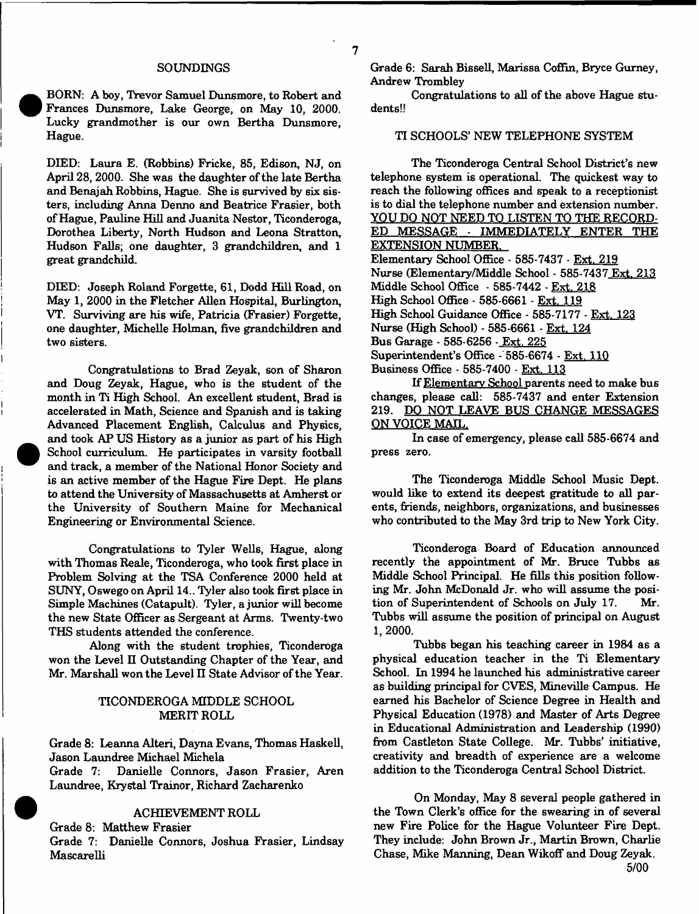#### SOUNDINGS

BORN: A boy, Trevor Samuel Dunsmore, to Robert and Frances Dunsmore, Lake George, on May 10, 2000. Lucky grandmother is our own Bertha Dunsmore, Hague.

DEED: Laura E. (Robbins) Fricke, 85, Edison, NJ, on April 28, 2000. She was the daughter of the late Bertha and Benajah Robbins, Hague. She is survived by six sisters, including Anna Denno and Beatrice Frasier, both of Hague, Pauline Hill and Juanita Nestor, Ticonderoga, Dorothea Liberty, North Hudson and Leona Stratton, Hudson Falls; one daughter, 3 grandchildren, and 1 great grandchild.

DEED: Joseph Roland Forgette, 61, Dodd Hill Road, on May 1, 2000 in the Fletcher Allen Hospital, Burlington, VT. Surviving are his wife, Patricia (Frasier) Forgette, one daughter, Michelle Holman, five grandchildren and two sisters.

Congratulations to Brad Zeyak, son of Sharon and Doug Zeyak, Hague, who is the student of the month in Ti High School. An excellent student, Brad is accelerated in Math, Science and Spanish and is taking Advanced Placement English, Calculus and Physics, and took AP US History as a junior as part of his High School curriculum. He participates in varsity football and track, a member of the National Honor Society and is an active member of the Hague Fire Dept. He plans to attend the University of Massachusetts at Amherst or the University of Southern Maine for Mechanical Engineering or Environmental Science.

Congratulations to Tyler Wells, Hague, along with Thomas Reale, Ticonderoga, who took first place in Problem Solving at the TSA Conference 2000 held at SUNY, Oswego on April 14.. Tyler also took first place in Simple Machines (Catapult). Tyler, a junior will become the new State Officer as Sergeant at Arms. Twenty-two THS students attended the conference.

Along with the student trophies, Ticonderoga won the Level II Outstanding Chapter of the Year, and Mr. Marshall won the Level II State Advisor of the Year.

## TICONDEROGA MIDDLE SCHOOL MERIT ROLL

Grade 8: Leanna Alteri, Dayna Evans, Thomas Haskell, Jason Laundree Michael Michela

Grade 7: Danielle Connors, Jason Frasier, Aren Laundree, Krystal Trainor, Richard Zacharenko

#### ACHIEVEMENT ROLL

Grade 8: Matthew Frasier

Grade 7: Danielle Connors, Joshua Frasier, Lindsay Mascarelli

Grade 6: Sarah Bissell, Marissa Coffin, Bryce Gurney, Andrew Trombley

Congratulations to all of the above Hague students!!

### TI SCHOOLS' NEW TELEPHONE SYSTEM

The Ticonderoga Central School District's new telephone system is operational. The quickest way to reach the following offices and speak to a receptionist is to dial the telephone number and extension number. YOU DO NOT NEED TO LISTEN TO THE RECORD-ED MESSAGE - IMMEDIATELY ENTER THE EXTENSION NUMBER. Elementary School Office - 585-7437 - Ext. 219 Nurse (Elementary/Middle School - 585-7437 Ext. 213 Middle School Office - 585-7442 - Ext. 218 High School Office - 585-6661 - Ext. 119 High School Guidance Office - 585-7177 - Ext. 123 Nurse (High School) - 585-6661 - Ext. 124 Bus Garage - 585-6256 - Ext. 225 Superintendent's Office - 585-6674 - Ext. 110 Business Office - 585-7400 - Ext. 113

If Elementary School parents need to make bus changes, please call: 585-7437 and enter Extension 219. DO NOT LEAVE BUS CHANGE MESSAGES ON VOICE MAIL.

In case of emergency, please call 585-6674 and press zero.

The Ticonderoga Middle School Music Dept, would like to extend its deepest gratitude to all parents, friends, neighbors, organizations, and businesses who contributed to the May 3rd trip to New York City.

Ticonderoga Board of Education announced recently the appointment of Mr. Bruce Tubbs as Middle School Principal. He fills this position following Mr. John McDonald Jr. who will assume the position of Superintendent of Schools on July 17. Mr. Tubbs will assume the position of principal on August 1, 2000.

Tubbs began his teaching career in 1984 as a physical education teacher in the Ti Elementary School. In 1994 he launched his administrative career as building principal for CVES, Mineville Campus. He earned his Bachelor of Science Degree in Health and Physical Education (1978) and Master of Arts Degree in Educational Administration and Leadership (1990) from Castleton State College. Mr. Tubbs' initiative, creativity and breadth of experience are a welcome addition to the Ticonderoga Central School District.

On Monday, May 8 several people gathered in the Town Clerk's office for the swearing in of several new Fire Police for the Hague Volunteer Fire Dept. They include: John Brown Jr., Martin Brown, Charlie Chase, Mike Manning, Dean Wikoff and Doug Zeyak. 5/00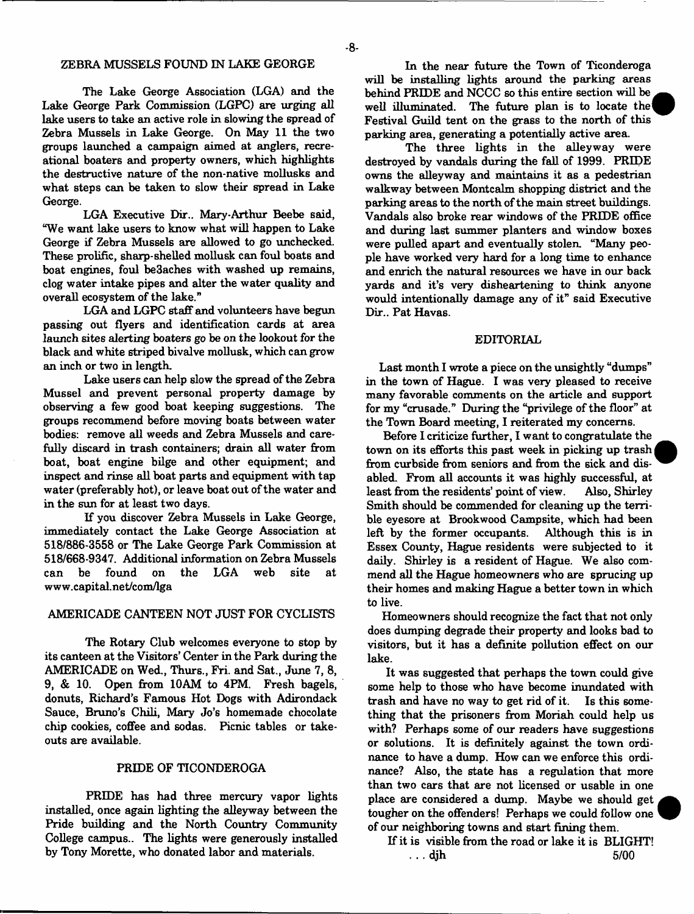## ZEBRA MUSSELS FOUND IN LAKE GEORGE

The Lake George Association (LGA) and the Lake George Park Commission (LGPC) are urging all lake users to take an active role in slowing the spread of Zebra Mussels in Lake George. On May 11 the two groups launched a campaign aimed at anglers, recreational boaters and property owners, which highlights the destructive nature of the non-native mollusks and what steps can be taken to slow their spread in Lake George.

LGA Executive Dir.. Mary-Arthur Beebe said, "We want lake users to know what will happen to Lake George if Zebra Mussels are allowed to go unchecked. These prolific, sharp-shelled mollusk can foul boats and boat engines, foul be3aches with washed up remains, clog water intake pipes and alter the water quality and overall ecosystem of the lake."

LGA and LGPC staff and volunteers have begun passing out flyers and identification cards at area launch sites alerting boaters go be on the lookout for the black and white striped bivalve mollusk, which can grow an inch or two in length.

Lake users can help slow the spread of the Zebra Mussel and prevent personal property damage by observing a few good boat keeping suggestions. The groups recommend before moving boats between water bodies: remove all weeds and Zebra Mussels and carefully discard in trash containers; drain all water from boat, boat engine bilge and other equipment; and inspect and rinse all boat parts and equipment with tap water (preferably hot), or leave boat out of the water and in the sun for at least two days.

If you discover Zebra Mussels in Lake George, immediately contact the Lake George Association at 518/886-3558 or The Lake George Park Commission at 518/668-9347. Additional information on Zebra Mussels can be found on the LGA web site at [www.capital.net/com/lga](http://www.capital.net/com/lga)

## AMERICADE CANTEEN NOT JUST FOR CYCLISTS

The Rotary Club welcomes everyone to stop by its canteen at the Visitors' Center in the Park during the AMERICADE on Wed., Thurs., Fri. and Sat., June 7, 8, 9, & 10. Open from 10AM to 4FM. Fresh bagels, donuts, Richard's Famous Hot Dogs with Adirondack Sauce, Bruno's Chili, Mary Jo's homemade chocolate chip cookies, coffee and sodas. Picnic tables or takeouts are available.

### PRIDE OF TICONDEROGA

PRIDE has had three mercury vapor lights installed, once again lighting the alleyway between the Pride building and the North Country Community College campus.. The lights were generously installed by Tony Morette, who donated labor and materials.

In the near future the Town of Ticonderoga will be installing lights around the parking areas behind PRIDE and NCCC so this entire section will be well illuminated. The future plan is to locate the Festival Guild tent on the grass to the north of this parking area, generating a potentially active area.

The three lights in the alleyway were destroyed by vandals during the fall of 1999. PRIDE owns the alleyway and maintains it as a pedestrian walkway between Montcalm shopping district and the parking areas to the north of the main street buildings. Vandals also broke rear windows of the PRIDE office and during last summer planters and window boxes were pulled apart and eventually stolen. "Many people have worked very hard for a long time to enhance and enrich the natural resources we have in our back yards and it's very disheartening to think anyone would intentionally damage any of it" said Executive Dir.. Pat Havas.

## EDITORIAL

Last month I wrote a piece on the unsightly "dumps" in the town of Hague. I was very pleased to receive many favorable comments on the article and support for my "crusade." During the "privilege of the floor" at the Town Board meeting, I reiterated my concerns.

Before I criticize further, I want to congratulate the town on its efforts this past week in picking up trash | from curbside from seniors and from the sick and disabled. From all accounts it was highly successful, at least from the residents' point of view. Also, Shirley Smith should be commended for cleaning up the terrible eyesore at Brookwood Campsite, which had been left by the former occupants. Although this is in Essex County, Hague residents were subjected to it daily. Shirley is a resident of Hague. We also commend all the Hague homeowners who are sprucing up their homes and making Hague a better town in which to live.

Homeowners should recognize the fact that not only does dumping degrade their property and looks bad to visitors, but it has a definite pollution effect on our lake.

It was suggested that perhaps the town could give some help to those who have become inundated with trash and have no way to get rid of it. Is this something that the prisoners from Moriah could help us with? Perhaps some of our readers have suggestions or solutions. It is definitely against the town ordinance to have a dump. How can we enforce this ordinance? Also, the state has a regulation that more than two cars that are not licensed or usable in one place are considered a dump. Maybe we should get tougher on the offenders! Perhaps we could follow one of our neighboring towns and start fining them.

If it is visible from the road or lake it is BLIGHT!  $\ldots$  djh 5/00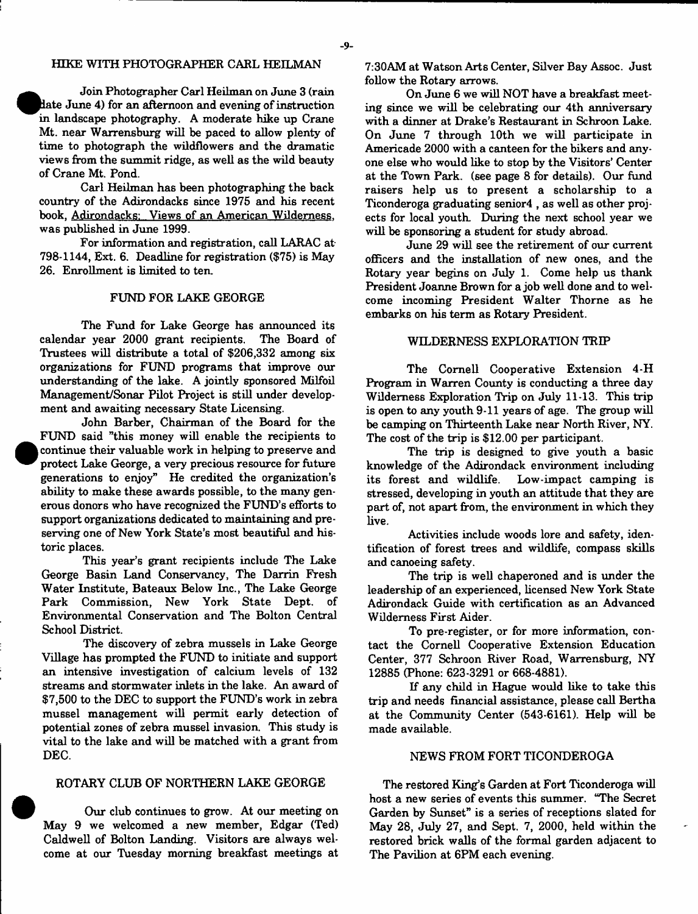### HTKE WITH PHOTOGRAPHER CARL HEILMAN

Join Photographer Carl Heilman on June 3 (rain ^^R late June 4) for an afternoon and evening of instruction in landscape photography. A moderate hike up Crane Mt. near Warrensburg will be paced to allow plenty of time to photograph the wildflowers and the dramatic views from the summit ridge, as well as the wild beauty of Crane Mt. Pond.

Carl Heilman has been photographing the back country of the Adirondacks since 1975 and his recent book, Adirondacks: Views of an American Wilderness, was published in June 1999.

For information and registration, call LARAC at 798-1144, Ext. 6. Deadline for registration (\$75) is May 26. Enrollment is limited to ten.

### FUND FOR LAKE GEORGE

The Fund for Lake George has announced its calendar year 2000 grant recipients. The Board of Trustees will distribute a total of \$206,332 among six organizations for FUND programs that improve our understanding of the lake. A jointly sponsored Milfoil Management/Sonar Pilot Project is still under development and awaiting necessary State Licensing.

John Barber, Chairman of the Board for the FUND said "this money will enable the recipients to continue their valuable work in helping to preserve and protect Lake George, a very precious resource for future generations to enjoy" He credited the organization's ability to make these awards possible, to the many generous donors who have recognized the FUND's efforts to support organizations dedicated to maintaining and preserving one of New York State's most beautiful and historic places.

•

This year's grant recipients include The Lake George Basin Land Conservancy, The Darrin Fresh Water Institute, Bateaux Below Inc., The Lake George Park Commission, New York State Dept, of Environmental Conservation and The Bolton Central School District.

The discovery of zebra mussels in Lake George Village has prompted the FUND to initiate and support an intensive investigation of calcium levels of 132 streams and stormwater inlets in the lake. An award of \$7,500 to the DEC to support the FUND's work in zebra mussel management will permit early detection of potential zones of zebra mussel invasion. This study is vital to the lake and will be matched with a grant from DEC.

## ROTARY CLUB OF NORTHERN LAKE GEORGE

Our club continues to grow. At our meeting on May 9 we welcomed a new member, Edgar (Ted) Caldwell of Bolton Landing. Visitors are always welcome at our Tuesday morning breakfast meetings at 7:30AM at Watson Arts Center, Silver Bay Assoc. Just follow the Rotary arrows.

On June 6 we will NOT have a breakfast meeting since we will be celebrating our 4th anniversary with a dinner at Drake's Restaurant in Schroon Lake. On June 7 through 10th we will participate in Americade 2000 with a canteen for the bikers and anyone else who would like to stop by the Visitors' Center at the Town Park, (see page 8 for details). Our fund raisers help us to present a scholarship to a Ticonderoga graduating senior4 , as well as other projects for local youth. During the next school year we will be sponsoring a student for study abroad.

June 29 will see the retirement of our current officers and the installation of new ones, and the Rotary year begins on July 1. Come help us thank President Joanne Brown for a job well done and to welcome incoming President Walter Thorne as he embarks on his term as Rotary President.

#### WILDERNESS EXPLORATION TRIP

The Cornell Cooperative Extension 4-H Program in Warren County is conducting a three day Wilderness Exploration Trip on July 11-13. This trip is open to any youth 9-11 years of age. The group will be camping on Thirteenth Lake near North River, NY. The cost of the trip is \$12.00 per participant.

The trip is designed to give youth a basic knowledge of the Adirondack environment including its forest and wildlife. Low-impact camping is stressed, developing in youth an attitude that they are part of, not apart from, the environment in which they live.

Activities include woods lore and safety, identification of forest trees and wildlife, compass skills and canoeing safety.

The trip is well chaperoned and is under the leadership of an experienced, licensed New York State Adirondack Guide with certification as an Advanced Wilderness First Aider.

To pre-register, or for more information, contact the Cornell Cooperative Extension Education Center, 377 Schroon River Road, Warrensburg, NY 12885 (Phone: 623-3291 or 668-4881).

If any child in Hague would like to take this trip and needs financial assistance, please call Bertha at the Community Center (543-6161). Help will be made available.

### NEWS FROM FORT TICONDEROGA

The restored King's Garden at Fort Ticonderoga will host a new series of events this summer. "The Secret Garden by Sunset" is a series of receptions slated for May 28, July 27, and Sept. 7, 2000, held within the restored brick walls of the formal garden adjacent to The Pavilion at 6PM each evening.